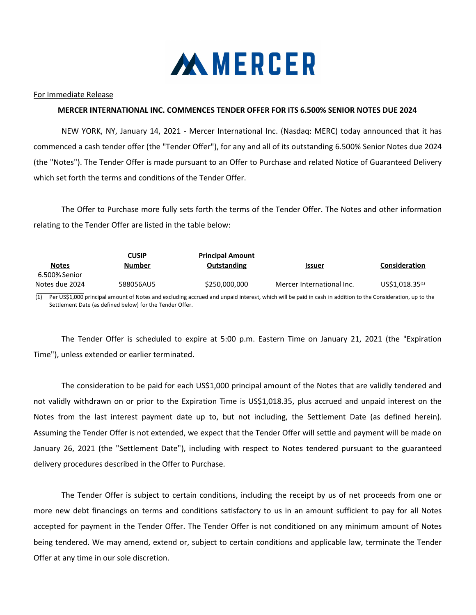

## For Immediate Release

## MERCER INTERNATIONAL INC. COMMENCES TENDER OFFER FOR ITS 6.500% SENIOR NOTES DUE 2024

NEW YORK, NY, January 14, 2021 - Mercer International Inc. (Nasdaq: MERC) today announced that it has commenced a cash tender offer (the "Tender Offer"), for any and all of its outstanding 6.500% Senior Notes due 2024 (the "Notes"). The Tender Offer is made pursuant to an Offer to Purchase and related Notice of Guaranteed Delivery which set forth the terms and conditions of the Tender Offer.

The Offer to Purchase more fully sets forth the terms of the Tender Offer. The Notes and other information relating to the Tender Offer are listed in the table below:

|                | CUSIP         | <b>Principal Amount</b> |                           |                             |
|----------------|---------------|-------------------------|---------------------------|-----------------------------|
| <b>Notes</b>   | <b>Number</b> | Outstanding             | <u>Issuer</u>             | <b>Consideration</b>        |
| 6.500% Senior  |               |                         |                           |                             |
| Notes due 2024 | 588056AU5     | \$250,000,000           | Mercer International Inc. | US\$1,018.35 <sup>(1)</sup> |

(1) Per US\$1,000 principal amount of Notes and excluding accrued and unpaid interest, which will be paid in cash in addition to the Consideration, up to the Settlement Date (as defined below) for the Tender Offer.

The Tender Offer is scheduled to expire at 5:00 p.m. Eastern Time on January 21, 2021 (the "Expiration Time"), unless extended or earlier terminated.

The consideration to be paid for each US\$1,000 principal amount of the Notes that are validly tendered and not validly withdrawn on or prior to the Expiration Time is US\$1,018.35, plus accrued and unpaid interest on the Notes from the last interest payment date up to, but not including, the Settlement Date (as defined herein). Assuming the Tender Offer is not extended, we expect that the Tender Offer will settle and payment will be made on January 26, 2021 (the "Settlement Date"), including with respect to Notes tendered pursuant to the guaranteed delivery procedures described in the Offer to Purchase.

The Tender Offer is subject to certain conditions, including the receipt by us of net proceeds from one or more new debt financings on terms and conditions satisfactory to us in an amount sufficient to pay for all Notes accepted for payment in the Tender Offer. The Tender Offer is not conditioned on any minimum amount of Notes being tendered. We may amend, extend or, subject to certain conditions and applicable law, terminate the Tender Offer at any time in our sole discretion.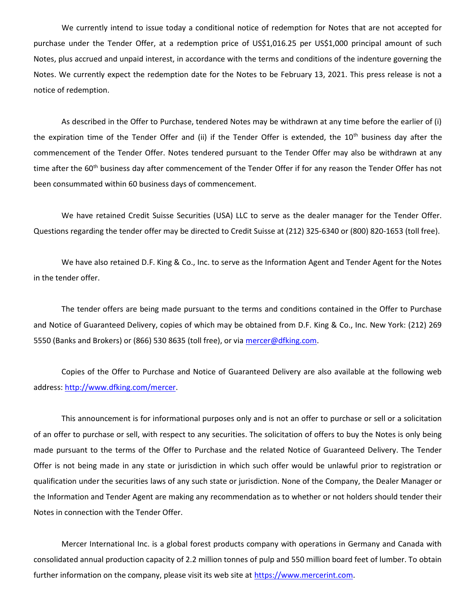We currently intend to issue today a conditional notice of redemption for Notes that are not accepted for purchase under the Tender Offer, at a redemption price of US\$1,016.25 per US\$1,000 principal amount of such Notes, plus accrued and unpaid interest, in accordance with the terms and conditions of the indenture governing the Notes. We currently expect the redemption date for the Notes to be February 13, 2021. This press release is not a notice of redemption.

As described in the Offer to Purchase, tendered Notes may be withdrawn at any time before the earlier of (i) the expiration time of the Tender Offer and (ii) if the Tender Offer is extended, the  $10<sup>th</sup>$  business day after the commencement of the Tender Offer. Notes tendered pursuant to the Tender Offer may also be withdrawn at any time after the 60<sup>th</sup> business day after commencement of the Tender Offer if for any reason the Tender Offer has not been consummated within 60 business days of commencement.

We have retained Credit Suisse Securities (USA) LLC to serve as the dealer manager for the Tender Offer. Questions regarding the tender offer may be directed to Credit Suisse at (212) 325-6340 or (800) 820-1653 (toll free).

We have also retained D.F. King & Co., Inc. to serve as the Information Agent and Tender Agent for the Notes in the tender offer.

The tender offers are being made pursuant to the terms and conditions contained in the Offer to Purchase and Notice of Guaranteed Delivery, copies of which may be obtained from D.F. King & Co., Inc. New York: (212) 269 5550 (Banks and Brokers) or (866) 530 8635 (toll free), or via mercer@dfking.com.

Copies of the Offer to Purchase and Notice of Guaranteed Delivery are also available at the following web address: http://www.dfking.com/mercer.

This announcement is for informational purposes only and is not an offer to purchase or sell or a solicitation of an offer to purchase or sell, with respect to any securities. The solicitation of offers to buy the Notes is only being made pursuant to the terms of the Offer to Purchase and the related Notice of Guaranteed Delivery. The Tender Offer is not being made in any state or jurisdiction in which such offer would be unlawful prior to registration or qualification under the securities laws of any such state or jurisdiction. None of the Company, the Dealer Manager or the Information and Tender Agent are making any recommendation as to whether or not holders should tender their Notes in connection with the Tender Offer.

Mercer International Inc. is a global forest products company with operations in Germany and Canada with consolidated annual production capacity of 2.2 million tonnes of pulp and 550 million board feet of lumber. To obtain further information on the company, please visit its web site at https://www.mercerint.com.